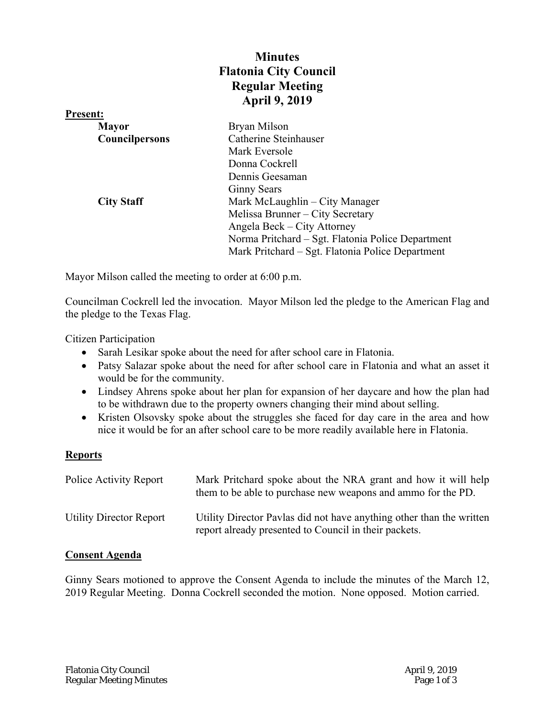# **Minutes Flatonia City Council Regular Meeting April 9, 2019**

| <b>Present:</b>       |                                                   |
|-----------------------|---------------------------------------------------|
| <b>Mayor</b>          | Bryan Milson                                      |
| <b>Councilpersons</b> | Catherine Steinhauser                             |
|                       | Mark Eversole                                     |
|                       | Donna Cockrell                                    |
|                       | Dennis Geesaman                                   |
|                       | <b>Ginny Sears</b>                                |
| <b>City Staff</b>     | Mark McLaughlin – City Manager                    |
|                       | Melissa Brunner - City Secretary                  |
|                       | Angela Beck – City Attorney                       |
|                       | Norma Pritchard - Sgt. Flatonia Police Department |
|                       | Mark Pritchard – Sgt. Flatonia Police Department  |

Mayor Milson called the meeting to order at 6:00 p.m.

Councilman Cockrell led the invocation. Mayor Milson led the pledge to the American Flag and the pledge to the Texas Flag.

Citizen Participation

- Sarah Lesikar spoke about the need for after school care in Flatonia.
- Patsy Salazar spoke about the need for after school care in Flatonia and what an asset it would be for the community.
- Lindsey Ahrens spoke about her plan for expansion of her daycare and how the plan had to be withdrawn due to the property owners changing their mind about selling.
- Kristen Olsovsky spoke about the struggles she faced for day care in the area and how nice it would be for an after school care to be more readily available here in Flatonia.

## **Reports**

| Police Activity Report  | Mark Pritchard spoke about the NRA grant and how it will help<br>them to be able to purchase new weapons and ammo for the PD. |
|-------------------------|-------------------------------------------------------------------------------------------------------------------------------|
| Utility Director Report | Utility Director Pavlas did not have anything other than the written<br>report already presented to Council in their packets. |

## **Consent Agenda**

Ginny Sears motioned to approve the Consent Agenda to include the minutes of the March 12, 2019 Regular Meeting. Donna Cockrell seconded the motion. None opposed. Motion carried.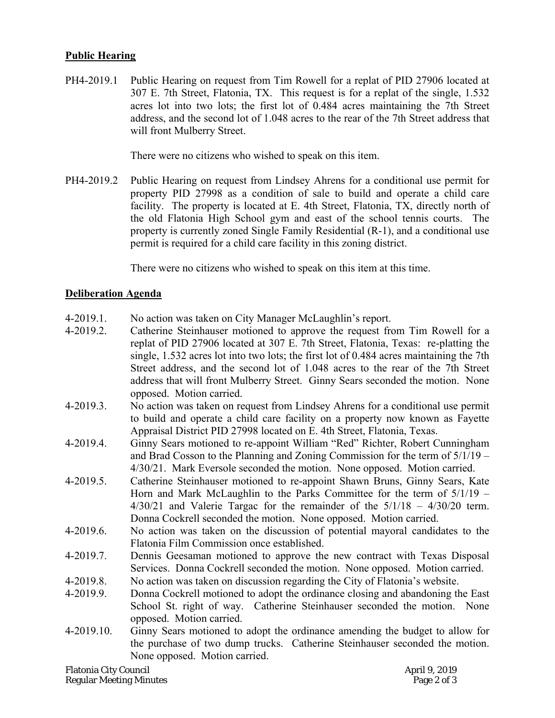## **Public Hearing**

PH4-2019.1 Public Hearing on request from Tim Rowell for a replat of PID 27906 located at 307 E. 7th Street, Flatonia, TX. This request is for a replat of the single, 1.532 acres lot into two lots; the first lot of 0.484 acres maintaining the 7th Street address, and the second lot of 1.048 acres to the rear of the 7th Street address that will front Mulberry Street.

There were no citizens who wished to speak on this item.

PH4-2019.2 Public Hearing on request from Lindsey Ahrens for a conditional use permit for property PID 27998 as a condition of sale to build and operate a child care facility. The property is located at E. 4th Street, Flatonia, TX, directly north of the old Flatonia High School gym and east of the school tennis courts. The property is currently zoned Single Family Residential (R-1), and a conditional use permit is required for a child care facility in this zoning district.

There were no citizens who wished to speak on this item at this time.

#### **Deliberation Agenda**

- 4-2019.1. No action was taken on City Manager McLaughlin's report.
- 4-2019.2. Catherine Steinhauser motioned to approve the request from Tim Rowell for a replat of PID 27906 located at 307 E. 7th Street, Flatonia, Texas: re-platting the single, 1.532 acres lot into two lots; the first lot of 0.484 acres maintaining the 7th Street address, and the second lot of 1.048 acres to the rear of the 7th Street address that will front Mulberry Street. Ginny Sears seconded the motion. None opposed. Motion carried.
- 4-2019.3. No action was taken on request from Lindsey Ahrens for a conditional use permit to build and operate a child care facility on a property now known as Fayette Appraisal District PID 27998 located on E. 4th Street, Flatonia, Texas.
- 4-2019.4. Ginny Sears motioned to re-appoint William "Red" Richter, Robert Cunningham and Brad Cosson to the Planning and Zoning Commission for the term of 5/1/19 – 4/30/21. Mark Eversole seconded the motion. None opposed. Motion carried.
- 4-2019.5. Catherine Steinhauser motioned to re-appoint Shawn Bruns, Ginny Sears, Kate Horn and Mark McLaughlin to the Parks Committee for the term of 5/1/19 –  $4/30/21$  and Valerie Targac for the remainder of the  $5/1/18 - 4/30/20$  term. Donna Cockrell seconded the motion. None opposed. Motion carried.
- 4-2019.6. No action was taken on the discussion of potential mayoral candidates to the Flatonia Film Commission once established.
- 4-2019.7. Dennis Geesaman motioned to approve the new contract with Texas Disposal Services. Donna Cockrell seconded the motion. None opposed. Motion carried.
- 4-2019.8. No action was taken on discussion regarding the City of Flatonia's website.
- 4-2019.9. Donna Cockrell motioned to adopt the ordinance closing and abandoning the East School St. right of way. Catherine Steinhauser seconded the motion. None opposed. Motion carried.
- 4-2019.10. Ginny Sears motioned to adopt the ordinance amending the budget to allow for the purchase of two dump trucks. Catherine Steinhauser seconded the motion. None opposed. Motion carried.